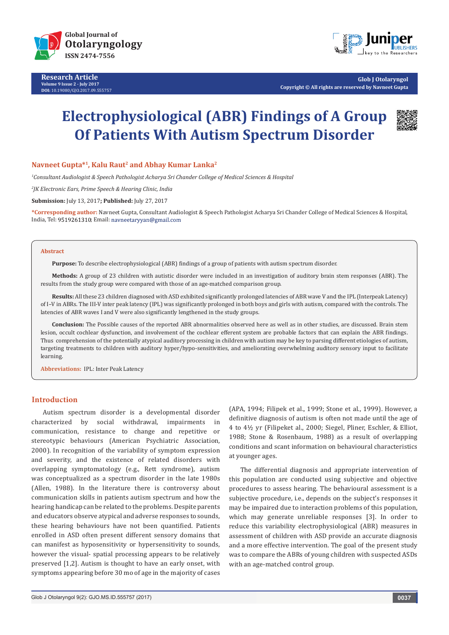

**Research Article Volume 9 Issue 2 - July 2017 DOI:** [10.19080/GJO.2017.09.555757](http://dx.doi.org/10.19080/GJO.2017.09.555757)



**Glob J Otolaryngol Copyright © All rights are reserved by Navneet Gupta**

# **Electrophysiological (ABR) Findings of A Group Of Patients With Autism Spectrum Disorder**



# **Navneet Gupta\*1, Kalu Raut2 and Abhay Kumar Lanka2**

*1 Consultant Audiologist & Speech Pathologist Acharya Sri Chander College of Medical Sciences & Hospital* 

*2 JK Electronic Ears, Prime Speech & Hearing Clinic, India* 

**Submission:** July 13, 2017**; Published:** July 27, 2017

**\*Corresponding author:** Navneet Gupta, Consultant Audiologist & Speech Pathologist Acharya Sri Chander College of Medical Sciences & Hospital, India, Tel: 9519261310; Email: navneetaryyan@gmail.com

#### **Abstract**

**Purpose:** To describe electrophysiological (ABR) findings of a group of patients with autism spectrum disorder.

**Methods:** A group of 23 children with autistic disorder were included in an investigation of auditory brain stem responses (ABR). The results from the study group were compared with those of an age-matched comparison group.

**Results:** All these 23 children diagnosed with ASD exhibited significantly prolonged latencies of ABR wave V and the IPL (Interpeak Latency) of I–V in ABRs. The III-V inter peak latency (IPL) was significantly prolonged in both boys and girls with autism, compared with the controls. The latencies of ABR waves I and V were also significantly lengthened in the study groups.

**Conclusion:** The Possible causes of the reported ABR abnormalities observed here as well as in other studies, are discussed. Brain stem lesion, occult cochlear dysfunction, and involvement of the cochlear efferent system are probable factors that can explain the ABR findings. Thus comprehension of the potentially atypical auditory processing in children with autism may be key to parsing different etiologies of autism, targeting treatments to children with auditory hyper/hypo-sensitivities, and ameliorating overwhelming auditory sensory input to facilitate learning.

**Abbreviations:** IPL: Inter Peak Latency

## **Introduction**

Autism spectrum disorder is a developmental disorder characterized by social withdrawal, impairments in communication, resistance to change and repetitive or stereotypic behaviours (American Psychiatric Association, 2000). In recognition of the variability of symptom expression and severity, and the existence of related disorders with overlapping symptomatology (e.g., Rett syndrome), autism was conceptualized as a spectrum disorder in the late 1980s (Allen, 1988). In the literature there is controversy about communication skills in patients autism spectrum and how the hearing handicap can be related to the problems. Despite parents and educators observe atypical and adverse responses to sounds, these hearing behaviours have not been quantified. Patients enrolled in ASD often present different sensory domains that can manifest as hyposensitivity or hypersensitivity to sounds, however the visual- spatial processing appears to be relatively preserved [1,2]. Autism is thought to have an early onset, with symptoms appearing before 30 mo of age in the majority of cases

(APA, 1994; Filipek et al., 1999; Stone et al., 1999). However, a definitive diagnosis of autism is often not made until the age of 4 to 4½ yr (Filipeket al., 2000; Siegel, Pliner, Eschler, & Elliot, 1988; Stone & Rosenbaum, 1988) as a result of overlapping conditions and scant information on behavioural characteristics at younger ages.

The differential diagnosis and appropriate intervention of this population are conducted using subjective and objective procedures to assess hearing. The behavioural assessment is a subjective procedure, i.e., depends on the subject's responses it may be impaired due to interaction problems of this population, which may generate unreliable responses [3]. In order to reduce this variability electrophysiological (ABR) measures in assessment of children with ASD provide an accurate diagnosis and a more effective intervention. The goal of the present study was to compare the ABRs of young children with suspected ASDs with an age-matched control group.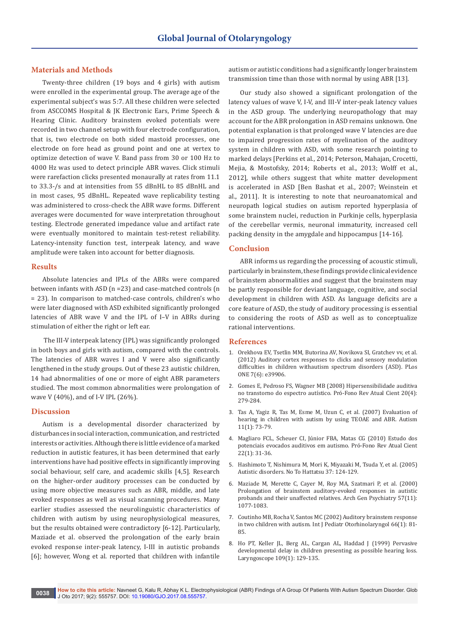# **Materials and Methods**

Twenty-three children (19 boys and 4 girls) with autism were enrolled in the experimental group. The average age of the experimental subject's was 5:7. All these children were selected from ASCCOMS Hospital & JK Electronic Ears, Prime Speech & Hearing Clinic. Auditory brainstem evoked potentials were recorded in two channel setup with four electrode configuration, that is, two electrode on both sided mastoid processes, one electrode on fore head as ground point and one at vertex to optimize detection of wave V. Band pass from 30 or 100 Hz to 4000 Hz was used to detect principle ABR waves. Click stimuli were rarefaction clicks presented monaurally at rates from 11.1 to 33.3-/s and at intensities from 55 dBnHL to 85 dBnHL and in most cases, 95 dBnHL. Repeated wave replicability testing was administered to cross-check the ABR wave forms. Different averages were documented for wave interpretation throughout testing. Electrode generated impedance value and artifact rate were eventually monitored to maintain test-retest reliability. Latency-intensity function test, interpeak latency, and wave amplitude were taken into account for better diagnosis.

## **Results**

Absolute latencies and IPLs of the ABRs were compared between infants with ASD (n =23) and case-matched controls (n = 23). In comparison to matched-case controls, children's who were later diagnosed with ASD exhibited significantly prolonged latencies of ABR wave V and the IPL of I–V in ABRs during stimulation of either the right or left ear.

 The III-V interpeak latency (IPL) was significantly prolonged in both boys and girls with autism, compared with the controls. The latencies of ABR waves I and V were also significantly lengthened in the study groups. Out of these 23 autistic children, 14 had abnormalities of one or more of eight ABR parameters studied. The most common abnormalities were prolongation of wave V (40%), and of I-V IPL (26%).

# **Discussion**

Autism is a developmental disorder characterized by disturbances in social interaction, communication, and restricted interests or activities. Although there is little evidence of a marked reduction in autistic features, it has been determined that early interventions have had positive effects in significantly improving social behaviour, self care, and academic skills [4,5]. Research on the higher-order auditory processes can be conducted by using more objective measures such as ABR, middle, and late evoked responses as well as visual scanning procedures. Many earlier studies assessed the neurolinguistic characteristics of children with autism by using neurophysiological measures, but the results obtained were contradictory [6-12]. Particularly, Maziade et al. observed the prolongation of the early brain evoked response inter-peak latency, I-III in autistic probands [6]; however, Wong et al. reported that children with infantile

autism or autistic conditions had a significantly longer brainstem transmission time than those with normal by using ABR [13].

Our study also showed a significant prolongation of the latency values of wave V, I-V, and III-V inter-peak latency values in the ASD group. The underlying neuropathology that may account for the ABR prolongation in ASD remains unknown. One potential explanation is that prolonged wave V latencies are due to impaired progression rates of myelination of the auditory system in children with ASD, with some research pointing to marked delays [Perkins et al., 2014; Peterson, Mahajan, Crocetti, Mejia, & Mostofsky, 2014; Roberts et al., 2013; Wolff et al., 2012], while others suggest that white matter development is accelerated in ASD [Ben Bashat et al., 2007; Weinstein et al., 2011]. It is interesting to note that neuroanatomical and neuropath logical studies on autism reported hyperplasia of some brainstem nuclei, reduction in Purkinje cells, hyperplasia of the cerebellar vermis, neuronal immaturity, increased cell packing density in the amygdale and hippocampus [14-16].

### **Conclusion**

ABR informs us regarding the processing of acoustic stimuli, particularly in brainstem, these findings provide clinical evidence of brainstem abnormalities and suggest that the brainstem may be partly responsible for deviant language, cognitive, and social development in children with ASD. As language deficits are a core feature of ASD, the study of auditory processing is essential to considering the roots of ASD as well as to conceptualize rational interventions.

### **References**

- 1. [Orekhova EV, Tsetlin MM, Butorina AV, Novikova SI, Gratchev vv, et al.](http://journals.plos.org/plosone/article?id=10.1371/journal.pone.0039906)  [\(2012\) Auditory cortex responses to clicks and sensory modulation](http://journals.plos.org/plosone/article?id=10.1371/journal.pone.0039906)  [difficulties in children withautism spectrum disorders \(ASD\). PLos](http://journals.plos.org/plosone/article?id=10.1371/journal.pone.0039906)  [ONE 7\(6\): e39906.](http://journals.plos.org/plosone/article?id=10.1371/journal.pone.0039906)
- 2. [Gomes E, Pedroso FS, Wagner MB \(2008\) Hipersensibilidade auditiva](http://www.scielo.br/scielo.php?script=sci_arttext&pid=S0104-56872008000400013)  [no transtorno do espectro autístico. Pró-Fono Rev Atual Cient 20\(4\):](http://www.scielo.br/scielo.php?script=sci_arttext&pid=S0104-56872008000400013)  [279-284.](http://www.scielo.br/scielo.php?script=sci_arttext&pid=S0104-56872008000400013)
- 3. [Tas A, Yagiz R, Tas M, Esme M, Uzun C, et al. \(2007\) Evaluation of](https://www.ncbi.nlm.nih.gov/pubmed/17175575)  [hearing in children with autism by using TEOAE and ABR. Autism](https://www.ncbi.nlm.nih.gov/pubmed/17175575)  [11\(1\): 73-79.](https://www.ncbi.nlm.nih.gov/pubmed/17175575)
- 4. [Magliaro FCL, Scheuer CI, Júnior FBA, Matas CG \(2010\) Estudo dos](http://www.scielo.br/scielo.php?script=sci_arttext&pid=S0104-56872010000100007)  [potenciais evocados auditivos em autismo. Pró-Fono Rev Atual Cient](http://www.scielo.br/scielo.php?script=sci_arttext&pid=S0104-56872010000100007)  [22\(1\): 31-36.](http://www.scielo.br/scielo.php?script=sci_arttext&pid=S0104-56872010000100007)
- 5. [Hashimoto T, Nishimura M, Mori K, Miyazaki M, Tsuda Y, et al. \(2005\)](https://www.jstage.jst.go.jp/article/ojjscn1969/37/2/37_2_124/_article)  [Autistic disorders. No To Hattatsu 37: 124-129.](https://www.jstage.jst.go.jp/article/ojjscn1969/37/2/37_2_124/_article)
- 6. [Maziade M, Merette C, Cayer M, Roy MA, Szatmari P, et al. \(2000\)](https://www.ncbi.nlm.nih.gov/pubmed/11074874)  [Prolongation of brainstem auditory-evoked responses in autistic](https://www.ncbi.nlm.nih.gov/pubmed/11074874)  [probands and their unaffected relatives. Arch Gen Psychiatry 57\(11\):](https://www.ncbi.nlm.nih.gov/pubmed/11074874)  [1077-1083.](https://www.ncbi.nlm.nih.gov/pubmed/11074874)
- 7. [Coutinho MB, Rocha V, Santos MC \(2002\) Auditory brainstem response](https://www.ncbi.nlm.nih.gov/pubmed/12363427)  [in two children with autism. Int J Pediatr Otorhinolaryngol 66\(1\): 81-](https://www.ncbi.nlm.nih.gov/pubmed/12363427) [85.](https://www.ncbi.nlm.nih.gov/pubmed/12363427)
- 8. [Ho PT, Keller JL, Berg AL, Cargan AL, Haddad J \(1999\) Pervasive](https://www.ncbi.nlm.nih.gov/pubmed/9917054)  [developmental delay in children presenting as possible hearing loss.](https://www.ncbi.nlm.nih.gov/pubmed/9917054)  [Laryngoscope 109\(1\): 129-135.](https://www.ncbi.nlm.nih.gov/pubmed/9917054)